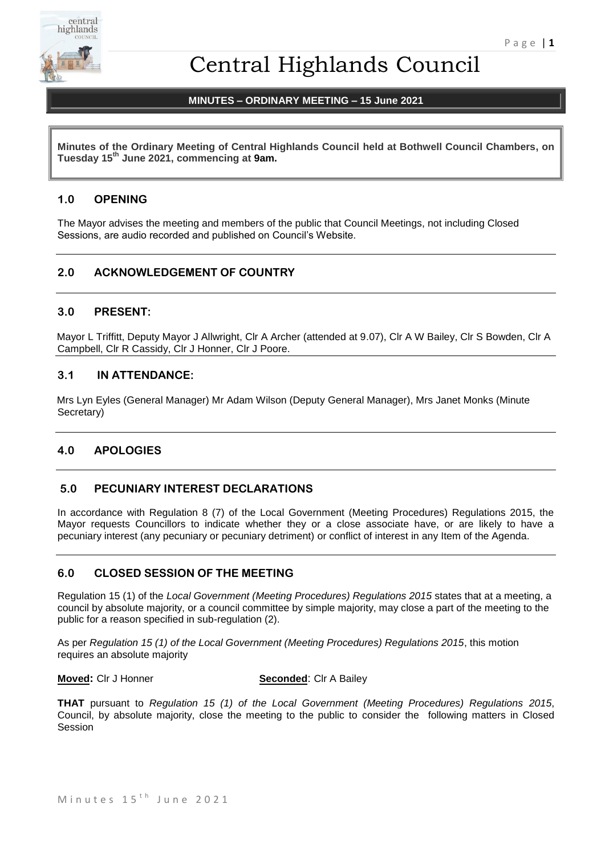

# Central Highlands Council

# **MINUTES – ORDINARY MEETING – 15 June 2021**

**Minutes of the Ordinary Meeting of Central Highlands Council held at Bothwell Council Chambers, on Tuesday 15th June 2021, commencing at 9am.**

# **1.0 OPENING**

The Mayor advises the meeting and members of the public that Council Meetings, not including Closed Sessions, are audio recorded and published on Council's Website.

# **2.0 ACKNOWLEDGEMENT OF COUNTRY**

# **3.0 PRESENT:**

Mayor L Triffitt, Deputy Mayor J Allwright, Clr A Archer (attended at 9.07), Clr A W Bailey, Clr S Bowden, Clr A Campbell, Clr R Cassidy, Clr J Honner, Clr J Poore.

# **3.1 IN ATTENDANCE:**

Mrs Lyn Eyles (General Manager) Mr Adam Wilson (Deputy General Manager), Mrs Janet Monks (Minute Secretary)

# **4.0 APOLOGIES**

# **5.0 PECUNIARY INTEREST DECLARATIONS**

In accordance with Regulation 8 (7) of the Local Government (Meeting Procedures) Regulations 2015, the Mayor requests Councillors to indicate whether they or a close associate have, or are likely to have a pecuniary interest (any pecuniary or pecuniary detriment) or conflict of interest in any Item of the Agenda.

# **6.0 CLOSED SESSION OF THE MEETING**

Regulation 15 (1) of the *Local Government (Meeting Procedures) Regulations 2015* states that at a meeting, a council by absolute majority, or a council committee by simple majority, may close a part of the meeting to the public for a reason specified in sub-regulation (2).

As per *Regulation 15 (1) of the Local Government (Meeting Procedures) Regulations 2015*, this motion requires an absolute majority

**Moved:** Clr J Honner **Seconded**: Clr A Bailey

**THAT** pursuant to *Regulation 15 (1) of the Local Government (Meeting Procedures) Regulations 2015*, Council, by absolute majority, close the meeting to the public to consider the following matters in Closed Session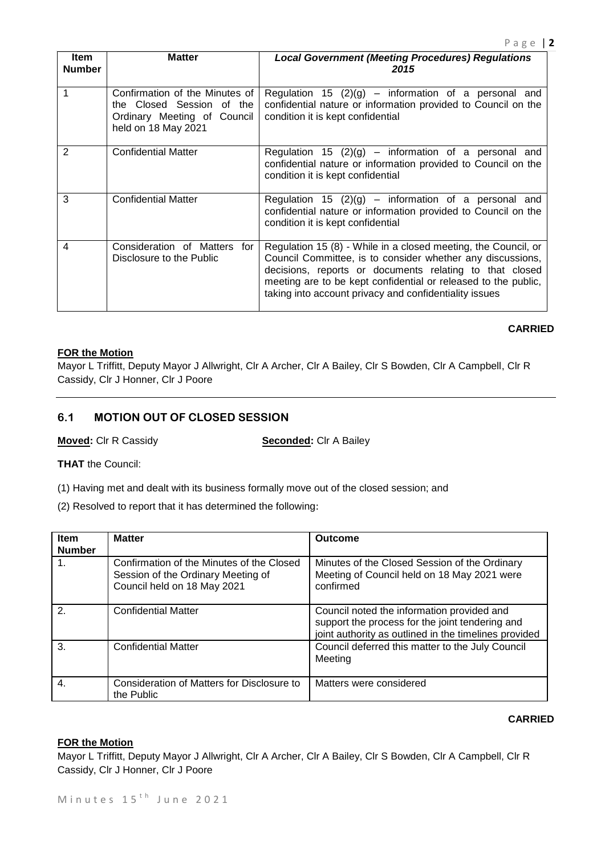**CARRIED**

| <b>Item</b><br><b>Number</b> | <b>Matter</b>                                                                                                     | <b>Local Government (Meeting Procedures) Regulations</b><br>2015                                                                                                                                                                                                                                                    |
|------------------------------|-------------------------------------------------------------------------------------------------------------------|---------------------------------------------------------------------------------------------------------------------------------------------------------------------------------------------------------------------------------------------------------------------------------------------------------------------|
|                              | Confirmation of the Minutes of<br>the Closed Session of the<br>Ordinary Meeting of Council<br>held on 18 May 2021 | Regulation 15 $(2)(g)$ – information of a personal and<br>confidential nature or information provided to Council on the<br>condition it is kept confidential                                                                                                                                                        |
| 2                            | <b>Confidential Matter</b>                                                                                        | Regulation 15 $(2)(g)$ – information of a personal and<br>confidential nature or information provided to Council on the<br>condition it is kept confidential                                                                                                                                                        |
| 3                            | <b>Confidential Matter</b>                                                                                        | Regulation 15 $(2)(g)$ – information of a personal and<br>confidential nature or information provided to Council on the<br>condition it is kept confidential                                                                                                                                                        |
| 4                            | Consideration of Matters for<br>Disclosure to the Public                                                          | Regulation 15 (8) - While in a closed meeting, the Council, or<br>Council Committee, is to consider whether any discussions,<br>decisions, reports or documents relating to that closed<br>meeting are to be kept confidential or released to the public,<br>taking into account privacy and confidentiality issues |

#### **FOR the Motion**

Mayor L Triffitt, Deputy Mayor J Allwright, Clr A Archer, Clr A Bailey, Clr S Bowden, Clr A Campbell, Clr R Cassidy, Clr J Honner, Clr J Poore

# **6.1 MOTION OUT OF CLOSED SESSION**

**Moved:** Clr R Cassidy **Seconded:** Clr A Bailey

**THAT** the Council:

(1) Having met and dealt with its business formally move out of the closed session; and

(2) Resolved to report that it has determined the following:

| <b>Item</b><br><b>Number</b> | <b>Matter</b>                                                                                                  | <b>Outcome</b>                                                                                                                                         |
|------------------------------|----------------------------------------------------------------------------------------------------------------|--------------------------------------------------------------------------------------------------------------------------------------------------------|
| 1.                           | Confirmation of the Minutes of the Closed<br>Session of the Ordinary Meeting of<br>Council held on 18 May 2021 | Minutes of the Closed Session of the Ordinary<br>Meeting of Council held on 18 May 2021 were<br>confirmed                                              |
| $\mathcal{P}$                | <b>Confidential Matter</b>                                                                                     | Council noted the information provided and<br>support the process for the joint tendering and<br>joint authority as outlined in the timelines provided |
| 3.                           | <b>Confidential Matter</b>                                                                                     | Council deferred this matter to the July Council<br>Meeting                                                                                            |
| 4.                           | Consideration of Matters for Disclosure to<br>the Public                                                       | Matters were considered                                                                                                                                |

#### **CARRIED**

#### **FOR the Motion**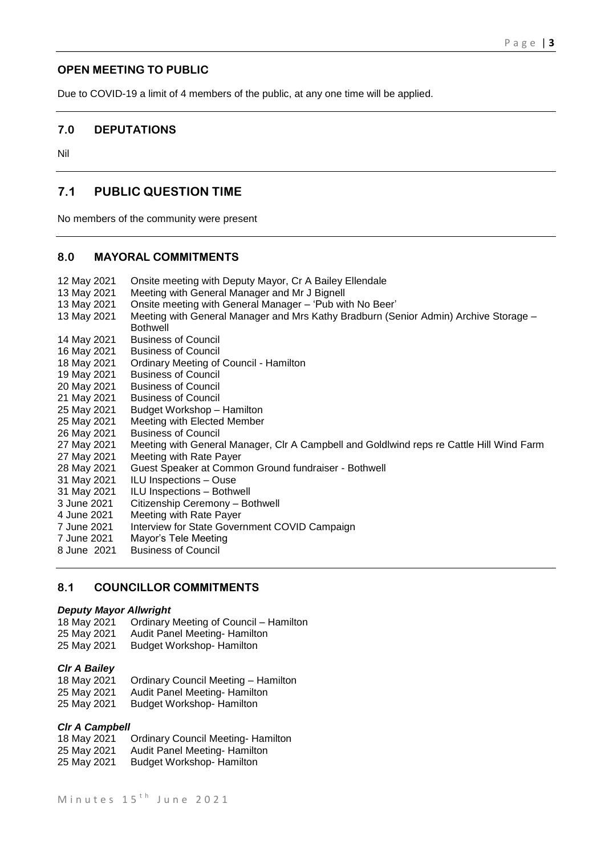# **OPEN MEETING TO PUBLIC**

Due to COVID-19 a limit of 4 members of the public, at any one time will be applied.

# **7.0 DEPUTATIONS**

Nil

# **7.1 PUBLIC QUESTION TIME**

No members of the community were present

# **8.0 MAYORAL COMMITMENTS**

12 May 2021 Onsite meeting with Deputy Mayor, Cr A Bailey Ellendale 13 May 2021 Meeting with General Manager and Mr J Bignell 13 May 2021 Onsite meeting with General Manager – 'Pub with No Beer' 13 May 2021 Meeting with General Manager and Mrs Kathy Bradburn (Senior Admin) Archive Storage – Bothwell 14 May 2021 Business of Council 16 May 2021 Business of Council 18 May 2021 Ordinary Meeting of Council - Hamilton 19 May 2021 Business of Council 20 May 2021 Business of Council<br>21 May 2021 Business of Council **Business of Council** 25 May 2021 Budget Workshop – Hamilton 25 May 2021 Meeting with Elected Member 26 May 2021 Business of Council 27 May 2021 Meeting with General Manager, Clr A Campbell and Goldlwind reps re Cattle Hill Wind Farm 27 May 2021 Meeting with Rate Payer 28 May 2021 Guest Speaker at Common Ground fundraiser - Bothwell 31 May 2021 ILU Inspections – Ouse 31 May 2021 ILU Inspections – Bothwell 3 June 2021 Citizenship Ceremony – Bothwell 4 June 2021 Meeting with Rate Payer 7 June 2021 Interview for State Government COVID Campaign 7 June 2021 Mayor's Tele Meeting<br>8 June 2021 Business of Council **Business of Council** 

# **8.1 COUNCILLOR COMMITMENTS**

#### *Deputy Mayor Allwright*

- 18 May 2021 Ordinary Meeting of Council Hamilton<br>25 May 2021 Audit Panel Meeting- Hamilton
- Audit Panel Meeting- Hamilton
- 25 May 2021 Budget Workshop- Hamilton

#### *Clr A Bailey*

- 18 May 2021 Ordinary Council Meeting Hamilton 25 May 2021 Audit Panel Meeting- Hamilton
- 25 May 2021 Budget Workshop- Hamilton

#### *Clr A Campbell*

18 May 2021 Ordinary Council Meeting- Hamilton 25 May 2021 Audit Panel Meeting- Hamilton 25 May 2021 Budget Workshop- Hamilton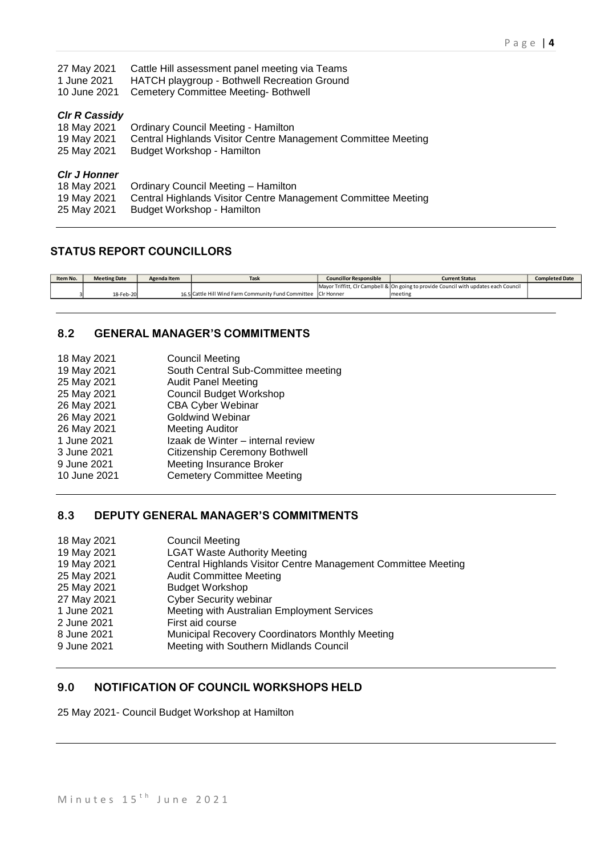| 27 May 2021<br>1 June 2021<br>10 June 2021 | Cattle Hill assessment panel meeting via Teams<br>HATCH playgroup - Bothwell Recreation Ground<br><b>Cemetery Committee Meeting-Bothwell</b> |
|--------------------------------------------|----------------------------------------------------------------------------------------------------------------------------------------------|
| <b>CIr R Cassidy</b>                       |                                                                                                                                              |
| 18 May 2021                                | <b>Ordinary Council Meeting - Hamilton</b>                                                                                                   |
| 19 May 2021                                | Central Highlands Visitor Centre Management Committee Meeting                                                                                |
| 25 May 2021                                | Budget Workshop - Hamilton                                                                                                                   |
| <b>CIr J Honner</b>                        |                                                                                                                                              |
| 18 May 2021                                | Ordinary Council Meeting - Hamilton                                                                                                          |
| 19 May 2021                                | Central Highlands Visitor Centre Management Committee Meeting                                                                                |
| 25 May 2021                                | Budget Workshop - Hamilton                                                                                                                   |

# **STATUS REPORT COUNCILLORS**

| <b>Meeting Date</b> | Agenda Item | Tas                                                            | <b>Councillor Responsible</b> | <b>Current Status</b>                                                                | <b>Completed Date</b> |
|---------------------|-------------|----------------------------------------------------------------|-------------------------------|--------------------------------------------------------------------------------------|-----------------------|
|                     |             |                                                                |                               | Mayor Triffitt, CIr Campbell & On going to provide Council with updates each Council |                       |
| 18-Feb-20           |             | 16.5 Cattle Hill Wind Farm Community Fund Committee CIr Honner |                               | meeting                                                                              |                       |

# **8.2 GENERAL MANAGER'S COMMITMENTS**

| 18 May 2021  | <b>Council Meeting</b>              |
|--------------|-------------------------------------|
| 19 May 2021  | South Central Sub-Committee meeting |
| 25 May 2021  | <b>Audit Panel Meeting</b>          |
| 25 May 2021  | <b>Council Budget Workshop</b>      |
| 26 May 2021  | <b>CBA Cyber Webinar</b>            |
| 26 May 2021  | <b>Goldwind Webinar</b>             |
| 26 May 2021  | <b>Meeting Auditor</b>              |
| 1 June 2021  | Izaak de Winter - internal review   |
| 3 June 2021  | Citizenship Ceremony Bothwell       |
| 9 June 2021  | <b>Meeting Insurance Broker</b>     |
| 10 June 2021 | <b>Cemetery Committee Meeting</b>   |
|              |                                     |

# **8.3 DEPUTY GENERAL MANAGER'S COMMITMENTS**

| 18 May 2021 | <b>Council Meeting</b>                                        |
|-------------|---------------------------------------------------------------|
| 19 May 2021 | <b>LGAT Waste Authority Meeting</b>                           |
| 19 May 2021 | Central Highlands Visitor Centre Management Committee Meeting |
| 25 May 2021 | <b>Audit Committee Meeting</b>                                |
| 25 May 2021 | <b>Budget Workshop</b>                                        |
| 27 May 2021 | <b>Cyber Security webinar</b>                                 |
| 1 June 2021 | Meeting with Australian Employment Services                   |
| 2 June 2021 | First aid course                                              |
| 8 June 2021 | Municipal Recovery Coordinators Monthly Meeting               |
| 9 June 2021 | Meeting with Southern Midlands Council                        |
|             |                                                               |

# **9.0 NOTIFICATION OF COUNCIL WORKSHOPS HELD**

25 May 2021- Council Budget Workshop at Hamilton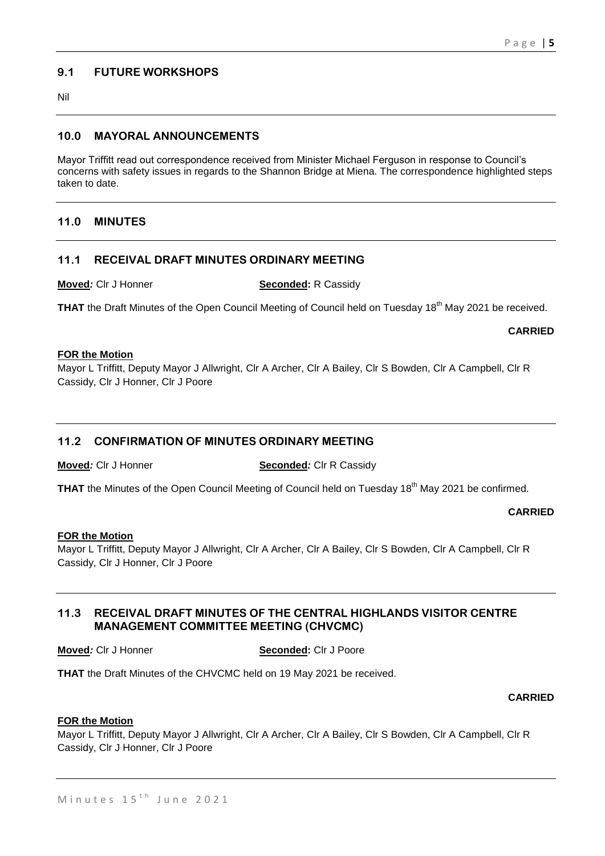# **9.1 FUTURE WORKSHOPS**

Nil

# **10.0 MAYORAL ANNOUNCEMENTS**

Mayor Triffitt read out correspondence received from Minister Michael Ferguson in response to Council's concerns with safety issues in regards to the Shannon Bridge at Miena. The correspondence highlighted steps taken to date.

# **11.0 MINUTES**

# **11.1 RECEIVAL DRAFT MINUTES ORDINARY MEETING**

**Moved***:* Clr J Honner **Seconded:** R Cassidy

**THAT** the Draft Minutes of the Open Council Meeting of Council held on Tuesday 18<sup>th</sup> May 2021 be received.

# **CARRIED**

#### **FOR the Motion**

Mayor L Triffitt, Deputy Mayor J Allwright, Clr A Archer, Clr A Bailey, Clr S Bowden, Clr A Campbell, Clr R Cassidy, Clr J Honner, Clr J Poore

# **11.2 CONFIRMATION OF MINUTES ORDINARY MEETING**

**Moved:** Clr J Honner **Seconded**: Clr R Cassidy

THAT the Minutes of the Open Council Meeting of Council held on Tuesday 18<sup>th</sup> May 2021 be confirmed.

# **CARRIED**

# **FOR the Motion**

Mayor L Triffitt, Deputy Mayor J Allwright, Clr A Archer, Clr A Bailey, Clr S Bowden, Clr A Campbell, Clr R Cassidy, Clr J Honner, Clr J Poore

# **11.3 RECEIVAL DRAFT MINUTES OF THE CENTRAL HIGHLANDS VISITOR CENTRE MANAGEMENT COMMITTEE MEETING (CHVCMC)**

#### **Moved:** Clr J Honner **Seconded:** Clr J Poore

**THAT** the Draft Minutes of the CHVCMC held on 19 May 2021 be received.

# **CARRIED**

# **FOR the Motion**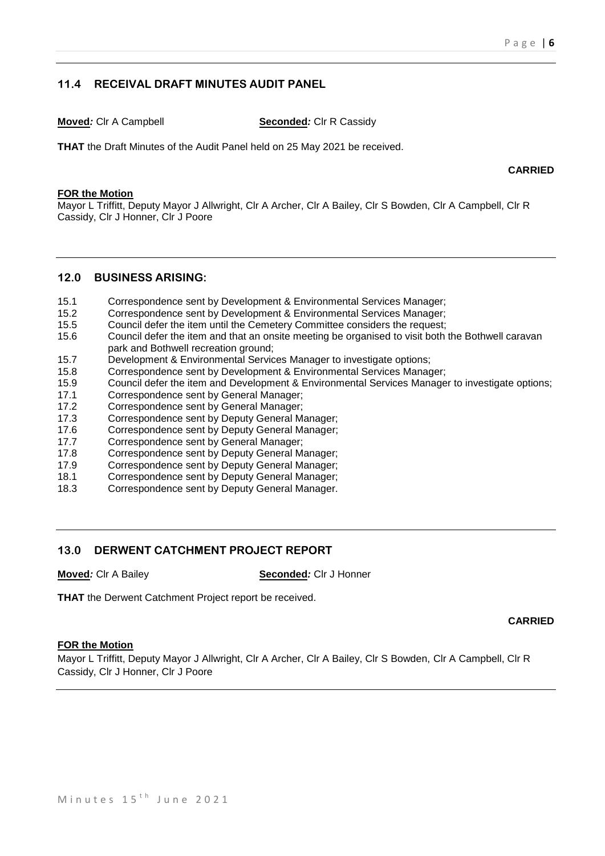# **11.4 RECEIVAL DRAFT MINUTES AUDIT PANEL**

**Moved:** Clr A Campbell **Seconded**: Clr R Cassidy

**THAT** the Draft Minutes of the Audit Panel held on 25 May 2021 be received.

**CARRIED**

#### **FOR the Motion**

Mayor L Triffitt, Deputy Mayor J Allwright, Clr A Archer, Clr A Bailey, Clr S Bowden, Clr A Campbell, Clr R Cassidy, Clr J Honner, Clr J Poore

#### **12.0 BUSINESS ARISING:**

- 15.1 Correspondence sent by Development & Environmental Services Manager;
- 15.2 Correspondence sent by Development & Environmental Services Manager;
- 15.5 Council defer the item until the Cemetery Committee considers the request;
- 15.6 Council defer the item and that an onsite meeting be organised to visit both the Bothwell caravan park and Bothwell recreation ground;
- 15.7 Development & Environmental Services Manager to investigate options;
- 15.8 Correspondence sent by Development & Environmental Services Manager;
- 15.9 Council defer the item and Development & Environmental Services Manager to investigate options;<br>17.1 Correspondence sent by General Manager:
- 17.1 Correspondence sent by General Manager;<br>17.2 Correspondence sent by General Manager:
- Correspondence sent by General Manager;
- 17.3 Correspondence sent by Deputy General Manager;
- 17.6 Correspondence sent by Deputy General Manager;
- 17.7 Correspondence sent by General Manager;
- 17.8 Correspondence sent by Deputy General Manager;
- 17.9 Correspondence sent by Deputy General Manager;
- 18.1 Correspondence sent by Deputy General Manager;
- 18.3 Correspondence sent by Deputy General Manager.

# **13.0 DERWENT CATCHMENT PROJECT REPORT**

**Moved***:* Clr A Bailey **Seconded***:* Clr J Honner

**THAT** the Derwent Catchment Project report be received.

# **CARRIED**

# **FOR the Motion**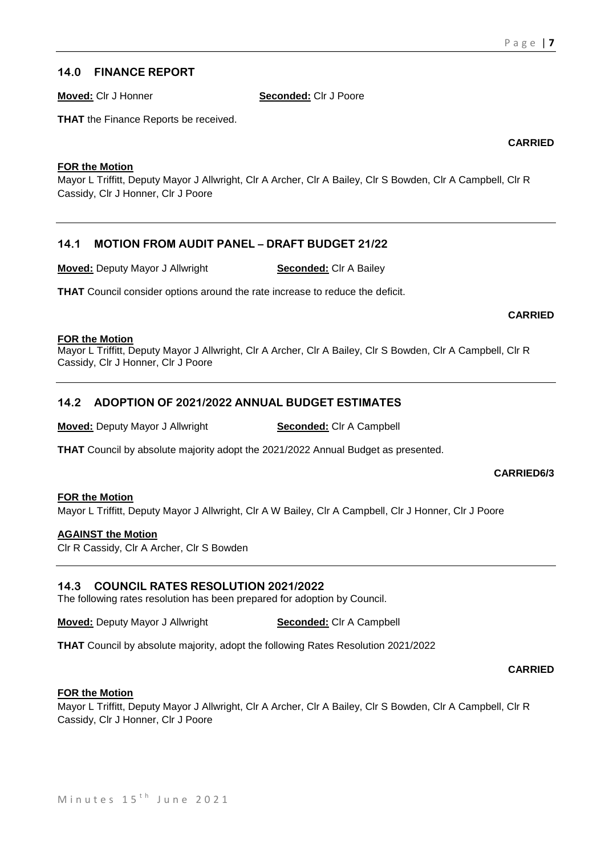# **14.0 FINANCE REPORT**

**Moved:** Clr J Honner **Seconded:** Clr J Poore

**THAT** the Finance Reports be received.

**CARRIED**

# **FOR the Motion**

Mayor L Triffitt, Deputy Mayor J Allwright, Clr A Archer, Clr A Bailey, Clr S Bowden, Clr A Campbell, Clr R Cassidy, Clr J Honner, Clr J Poore

# **14.1 MOTION FROM AUDIT PANEL – DRAFT BUDGET 21/22**

**Moved:** Deputy Mayor J Allwright **Seconded:** Clr A Bailey

**THAT** Council consider options around the rate increase to reduce the deficit.

# **CARRIED**

# **FOR the Motion**

Mayor L Triffitt, Deputy Mayor J Allwright, Clr A Archer, Clr A Bailey, Clr S Bowden, Clr A Campbell, Clr R Cassidy, Clr J Honner, Clr J Poore

# **14.2 ADOPTION OF 2021/2022 ANNUAL BUDGET ESTIMATES**

**Moved:** Deputy Mayor J Allwright **Seconded:** Clr A Campbell

**THAT** Council by absolute majority adopt the 2021/2022 Annual Budget as presented.

# **CARRIED6/3**

#### **FOR the Motion** Mayor L Triffitt, Deputy Mayor J Allwright, Clr A W Bailey, Clr A Campbell, Clr J Honner, Clr J Poore

# **AGAINST the Motion**

Clr R Cassidy, Clr A Archer, Clr S Bowden

# **14.3 COUNCIL RATES RESOLUTION 2021/2022**

The following rates resolution has been prepared for adoption by Council.

**Moved:** Deputy Mayor J Allwright **Seconded:** Clr A Campbell

**THAT** Council by absolute majority, adopt the following Rates Resolution 2021/2022

# **CARRIED**

# **FOR the Motion**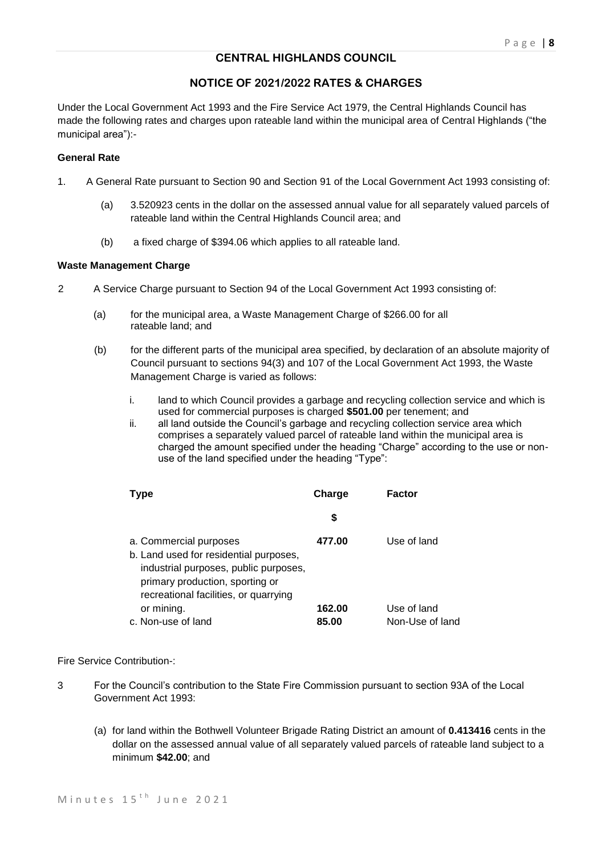# **CENTRAL HIGHLANDS COUNCIL**

# **NOTICE OF 2021/2022 RATES & CHARGES**

Under the Local Government Act 1993 and the Fire Service Act 1979, the Central Highlands Council has made the following rates and charges upon rateable land within the municipal area of Central Highlands ("the municipal area"):-

#### **General Rate**

- 1. A General Rate pursuant to Section 90 and Section 91 of the Local Government Act 1993 consisting of:
	- (a) 3.520923 cents in the dollar on the assessed annual value for all separately valued parcels of rateable land within the Central Highlands Council area; and
	- (b) a fixed charge of \$394.06 which applies to all rateable land.

#### **Waste Management Charge**

- 2 A Service Charge pursuant to Section 94 of the Local Government Act 1993 consisting of:
	- (a) for the municipal area, a Waste Management Charge of \$266.00 for all rateable land; and
	- (b) for the different parts of the municipal area specified, by declaration of an absolute majority of Council pursuant to sections 94(3) and 107 of the Local Government Act 1993, the Waste Management Charge is varied as follows:
		- i. land to which Council provides a garbage and recycling collection service and which is used for commercial purposes is charged **\$501.00** per tenement; and
		- ii. all land outside the Council's garbage and recycling collection service area which comprises a separately valued parcel of rateable land within the municipal area is charged the amount specified under the heading "Charge" according to the use or nonuse of the land specified under the heading "Type":

| <b>Type</b>                                                                                                                                                                           | Charge | Factor          |
|---------------------------------------------------------------------------------------------------------------------------------------------------------------------------------------|--------|-----------------|
|                                                                                                                                                                                       | \$     |                 |
| a. Commercial purposes<br>b. Land used for residential purposes,<br>industrial purposes, public purposes,<br>primary production, sporting or<br>recreational facilities, or quarrying | 477.00 | Use of land     |
| or mining.                                                                                                                                                                            | 162.00 | Use of land     |
| c. Non-use of land                                                                                                                                                                    | 85.00  | Non-Use of land |

#### Fire Service Contribution-:

- 3 For the Council's contribution to the State Fire Commission pursuant to section 93A of the Local Government Act 1993:
	- (a) for land within the Bothwell Volunteer Brigade Rating District an amount of **0.413416** cents in the dollar on the assessed annual value of all separately valued parcels of rateable land subject to a minimum **\$42.00**; and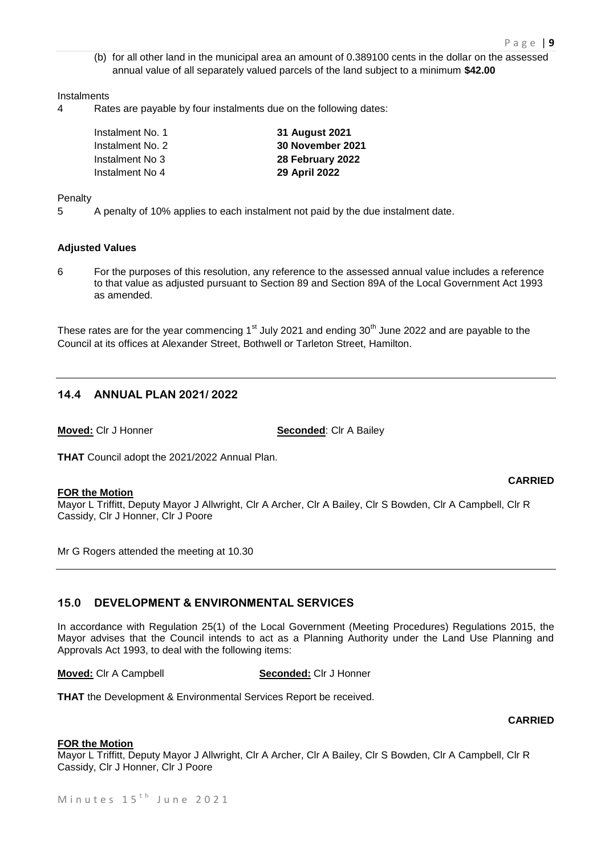(b) for all other land in the municipal area an amount of 0.389100 cents in the dollar on the assessed annual value of all separately valued parcels of the land subject to a minimum **\$42.00**

#### **Instalments**

4 Rates are payable by four instalments due on the following dates:

| Instalment No. 1 | 31 August 2021          |
|------------------|-------------------------|
| Instalment No. 2 | <b>30 November 2021</b> |
| Instalment No 3  | 28 February 2022        |
| Instalment No 4  | 29 April 2022           |

#### Penalty

5 A penalty of 10% applies to each instalment not paid by the due instalment date.

#### **Adjusted Values**

6 For the purposes of this resolution, any reference to the assessed annual value includes a reference to that value as adjusted pursuant to Section 89 and Section 89A of the Local Government Act 1993 as amended.

These rates are for the year commencing  $1<sup>st</sup>$  July 2021 and ending  $30<sup>th</sup>$  June 2022 and are payable to the Council at its offices at Alexander Street, Bothwell or Tarleton Street, Hamilton.

# **14.4 ANNUAL PLAN 2021/ 2022**

**Moved:** Clr J Honner **Seconded:** Clr A Bailey

**THAT** Council adopt the 2021/2022 Annual Plan.

#### **FOR the Motion**

**CARRIED**

Mayor L Triffitt, Deputy Mayor J Allwright, Clr A Archer, Clr A Bailey, Clr S Bowden, Clr A Campbell, Clr R Cassidy, Clr J Honner, Clr J Poore

Mr G Rogers attended the meeting at 10.30

# **15.0 DEVELOPMENT & ENVIRONMENTAL SERVICES**

In accordance with Regulation 25(1) of the Local Government (Meeting Procedures) Regulations 2015, the Mayor advises that the Council intends to act as a Planning Authority under the Land Use Planning and Approvals Act 1993, to deal with the following items:

**Moved:** Clr A Campbell **Seconded:** Clr J Honner

**THAT** the Development & Environmental Services Report be received.

#### **CARRIED**

#### **FOR the Motion**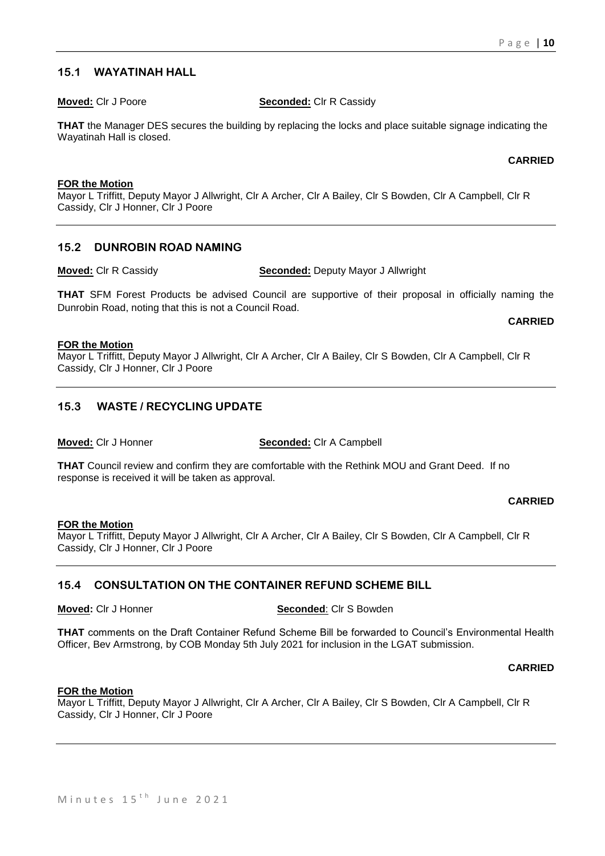# **15.1 WAYATINAH HALL**

**Moved:** Clr J Poore **Seconded:** Clr R Cassidy

**THAT** the Manager DES secures the building by replacing the locks and place suitable signage indicating the Wayatinah Hall is closed.

**CARRIED**

#### **FOR the Motion**

Mayor L Triffitt, Deputy Mayor J Allwright, Clr A Archer, Clr A Bailey, Clr S Bowden, Clr A Campbell, Clr R Cassidy, Clr J Honner, Clr J Poore

# **15.2 DUNROBIN ROAD NAMING**

**Moved:** Clr R Cassidy **Seconded:** Deputy Mayor J Allwright

**THAT** SFM Forest Products be advised Council are supportive of their proposal in officially naming the Dunrobin Road, noting that this is not a Council Road.

**CARRIED**

#### **FOR the Motion**

Mayor L Triffitt, Deputy Mayor J Allwright, Clr A Archer, Clr A Bailey, Clr S Bowden, Clr A Campbell, Clr R Cassidy, Clr J Honner, Clr J Poore

# **15.3 WASTE / RECYCLING UPDATE**

**Moved:** Clr J Honner **Seconded:** Clr A Campbell

**THAT** Council review and confirm they are comfortable with the Rethink MOU and Grant Deed. If no response is received it will be taken as approval.

#### **CARRIED**

# **FOR the Motion**

Mayor L Triffitt, Deputy Mayor J Allwright, Clr A Archer, Clr A Bailey, Clr S Bowden, Clr A Campbell, Clr R Cassidy, Clr J Honner, Clr J Poore

# **15.4 CONSULTATION ON THE CONTAINER REFUND SCHEME BILL**

**Moved:** Clr J Honner **Seconded**: Clr S Bowden

**THAT** comments on the Draft Container Refund Scheme Bill be forwarded to Council's Environmental Health Officer, Bev Armstrong, by COB Monday 5th July 2021 for inclusion in the LGAT submission.

**CARRIED**

#### **FOR the Motion**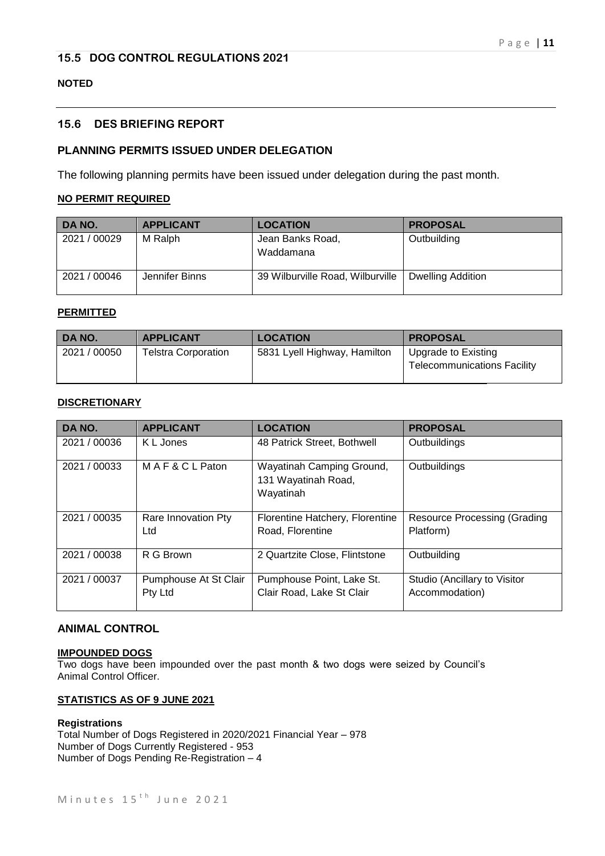# **15.5 DOG CONTROL REGULATIONS 2021**

# **NOTED**

# **15.6 DES BRIEFING REPORT**

# **PLANNING PERMITS ISSUED UNDER DELEGATION**

The following planning permits have been issued under delegation during the past month.

# **NO PERMIT REQUIRED**

| DA NO.       | <b>APPLICANT</b> | <b>LOCATION</b>                  | <b>PROPOSAL</b>   |
|--------------|------------------|----------------------------------|-------------------|
| 2021 / 00029 | M Ralph          | Jean Banks Road,<br>Waddamana    | Outbuilding       |
| 2021 / 00046 | Jennifer Binns   | 39 Wilburville Road, Wilburville | Dwelling Addition |

#### **PERMITTED**

| I DA NO.     | <b>APPLICANT</b>           | <b>LOCATION</b>              | <b>PROPOSAL</b>                                           |
|--------------|----------------------------|------------------------------|-----------------------------------------------------------|
| 2021 / 00050 | <b>Telstra Corporation</b> | 5831 Lyell Highway, Hamilton | Upgrade to Existing<br><b>Telecommunications Facility</b> |

#### **DISCRETIONARY**

| DA NO.       | <b>APPLICANT</b>                 | <b>LOCATION</b>                                               | <b>PROPOSAL</b>                                |
|--------------|----------------------------------|---------------------------------------------------------------|------------------------------------------------|
| 2021 / 00036 | K L Jones                        | 48 Patrick Street, Bothwell                                   | Outbuildings                                   |
| 2021 / 00033 | MAF&CLPaton                      | Wayatinah Camping Ground,<br>131 Wayatinah Road,<br>Wayatinah | Outbuildings                                   |
| 2021 / 00035 | Rare Innovation Pty<br>Ltd       | Florentine Hatchery, Florentine<br>Road, Florentine           | Resource Processing (Grading<br>Platform)      |
| 2021 / 00038 | R G Brown                        | 2 Quartzite Close, Flintstone                                 | Outbuilding                                    |
| 2021 / 00037 | Pumphouse At St Clair<br>Pty Ltd | Pumphouse Point, Lake St.<br>Clair Road, Lake St Clair        | Studio (Ancillary to Visitor<br>Accommodation) |

# **ANIMAL CONTROL**

#### **IMPOUNDED DOGS**

Two dogs have been impounded over the past month & two dogs were seized by Council's Animal Control Officer.

#### **STATISTICS AS OF 9 JUNE 2021**

#### **Registrations**

Total Number of Dogs Registered in 2020/2021 Financial Year – 978 Number of Dogs Currently Registered - 953 Number of Dogs Pending Re-Registration – 4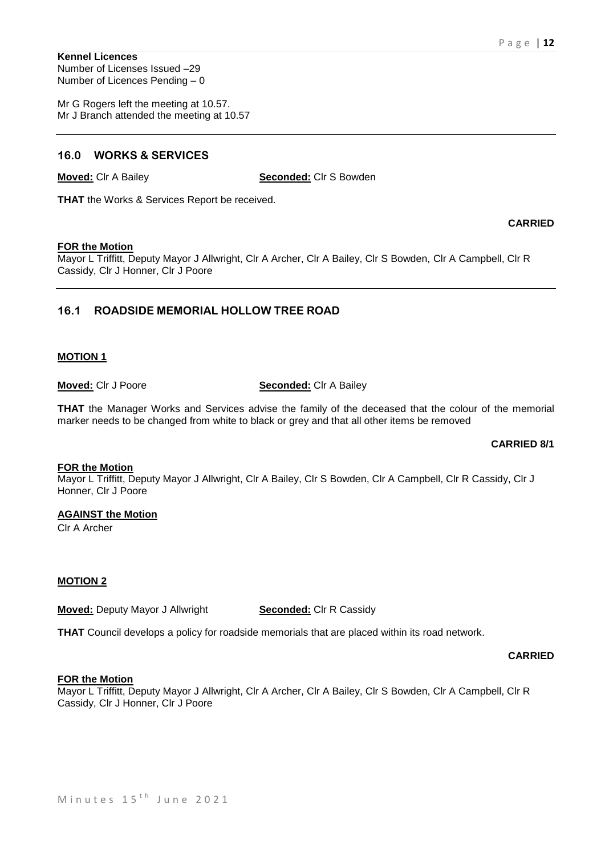**CARRIED**

#### **Kennel Licences** Number of Licenses Issued –29 Number of Licences Pending – 0

Mr G Rogers left the meeting at 10.57. Mr J Branch attended the meeting at 10.57

# **16.0 WORKS & SERVICES**

**Moved:** Clr A Bailey **Seconded:** Clr S Bowden

**THAT** the Works & Services Report be received.

#### **FOR the Motion**

Mayor L Triffitt, Deputy Mayor J Allwright, Clr A Archer, Clr A Bailey, Clr S Bowden, Clr A Campbell, Clr R Cassidy, Clr J Honner, Clr J Poore

# **16.1 ROADSIDE MEMORIAL HOLLOW TREE ROAD**

#### **MOTION 1**

# **Moved:** Clr J Poore **Seconded:** Clr A Bailey

**THAT** the Manager Works and Services advise the family of the deceased that the colour of the memorial marker needs to be changed from white to black or grey and that all other items be removed

#### **CARRIED 8/1**

#### **FOR the Motion**

Mayor L Triffitt, Deputy Mayor J Allwright, Clr A Bailey, Clr S Bowden, Clr A Campbell, Clr R Cassidy, Clr J Honner, Clr J Poore

# **AGAINST the Motion**

Clr A Archer

# **MOTION 2**

**Moved:** Deputy Mayor J Allwright **Seconded:** Clr R Cassidy

**THAT** Council develops a policy for roadside memorials that are placed within its road network.

#### **CARRIED**

# **FOR the Motion**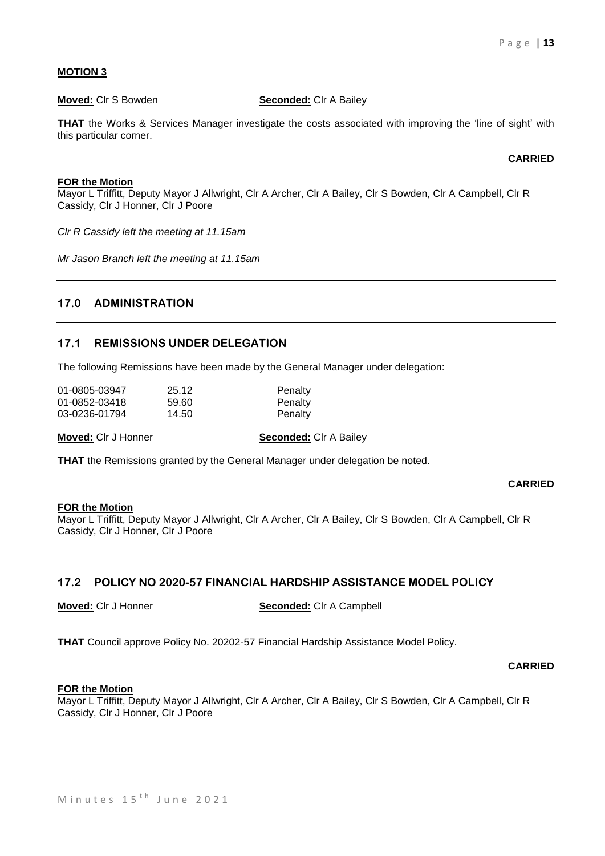# **MOTION 3**

**Moved:** Clr S Bowden **Seconded:** Clr A Bailey

**THAT** the Works & Services Manager investigate the costs associated with improving the 'line of sight' with this particular corner.

**CARRIED**

#### **FOR the Motion**

Mayor L Triffitt, Deputy Mayor J Allwright, Clr A Archer, Clr A Bailey, Clr S Bowden, Clr A Campbell, Clr R Cassidy, Clr J Honner, Clr J Poore

*Clr R Cassidy left the meeting at 11.15am*

*Mr Jason Branch left the meeting at 11.15am*

# **17.0 ADMINISTRATION**

# **17.1 REMISSIONS UNDER DELEGATION**

The following Remissions have been made by the General Manager under delegation:

| 01-0805-03947 | 25.12 | Penalty |
|---------------|-------|---------|
| 01-0852-03418 | 59.60 | Penalty |
| 03-0236-01794 | 14.50 | Penalty |

**Moved:** Clr J Honner **Seconded:** Clr A Bailey

**THAT** the Remissions granted by the General Manager under delegation be noted.

# **CARRIED**

#### **FOR the Motion**

Mayor L Triffitt, Deputy Mayor J Allwright, Clr A Archer, Clr A Bailey, Clr S Bowden, Clr A Campbell, Clr R Cassidy, Clr J Honner, Clr J Poore

# **17.2 POLICY NO 2020-57 FINANCIAL HARDSHIP ASSISTANCE MODEL POLICY**

**Moved:** Clr J Honner **Seconded:** Clr A Campbell

**THAT** Council approve Policy No. 20202-57 Financial Hardship Assistance Model Policy.

**CARRIED**

#### **FOR the Motion**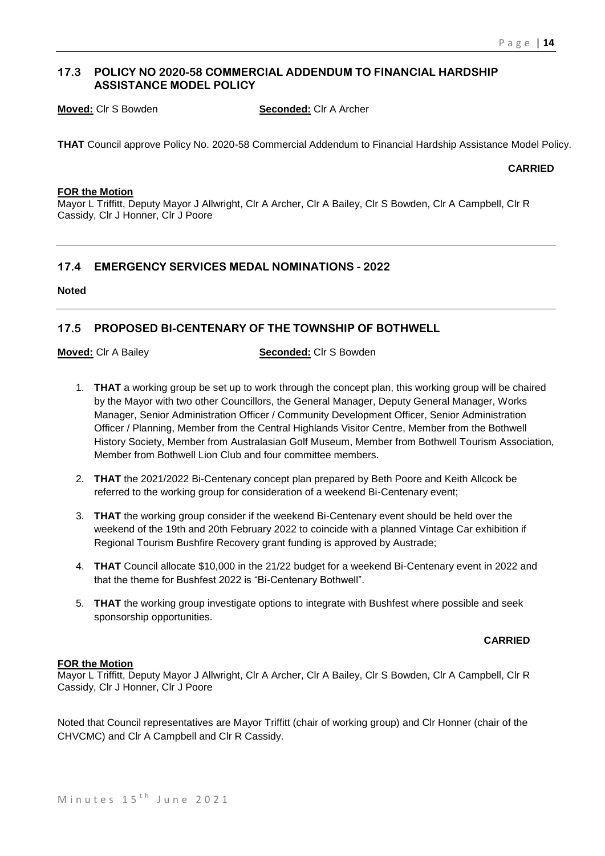# **17.3 POLICY NO 2020-58 COMMERCIAL ADDENDUM TO FINANCIAL HARDSHIP ASSISTANCE MODEL POLICY**

**Moved:** Clr S Bowden **Seconded:** Clr A Archer

**THAT** Council approve Policy No. 2020-58 Commercial Addendum to Financial Hardship Assistance Model Policy.

**CARRIED**

#### **FOR the Motion**

Mayor L Triffitt, Deputy Mayor J Allwright, Clr A Archer, Clr A Bailey, Clr S Bowden, Clr A Campbell, Clr R Cassidy, Clr J Honner, Clr J Poore

# **17.4 EMERGENCY SERVICES MEDAL NOMINATIONS - 2022**

#### **Noted**

# **17.5 PROPOSED BI-CENTENARY OF THE TOWNSHIP OF BOTHWELL**

**Moved:** Clr A Bailey **Seconded:** Clr S Bowden

- 1. **THAT** a working group be set up to work through the concept plan, this working group will be chaired by the Mayor with two other Councillors, the General Manager, Deputy General Manager, Works Manager, Senior Administration Officer / Community Development Officer, Senior Administration Officer / Planning, Member from the Central Highlands Visitor Centre, Member from the Bothwell History Society, Member from Australasian Golf Museum, Member from Bothwell Tourism Association, Member from Bothwell Lion Club and four committee members.
- 2. **THAT** the 2021/2022 Bi-Centenary concept plan prepared by Beth Poore and Keith Allcock be referred to the working group for consideration of a weekend Bi-Centenary event;
- 3. **THAT** the working group consider if the weekend Bi-Centenary event should be held over the weekend of the 19th and 20th February 2022 to coincide with a planned Vintage Car exhibition if Regional Tourism Bushfire Recovery grant funding is approved by Austrade;
- 4. **THAT** Council allocate \$10,000 in the 21/22 budget for a weekend Bi-Centenary event in 2022 and that the theme for Bushfest 2022 is "Bi-Centenary Bothwell".
- 5. **THAT** the working group investigate options to integrate with Bushfest where possible and seek sponsorship opportunities.

# **CARRIED**

# **FOR the Motion**

Mayor L Triffitt, Deputy Mayor J Allwright, Clr A Archer, Clr A Bailey, Clr S Bowden, Clr A Campbell, Clr R Cassidy, Clr J Honner, Clr J Poore

Noted that Council representatives are Mayor Triffitt (chair of working group) and Clr Honner (chair of the CHVCMC) and Clr A Campbell and Clr R Cassidy.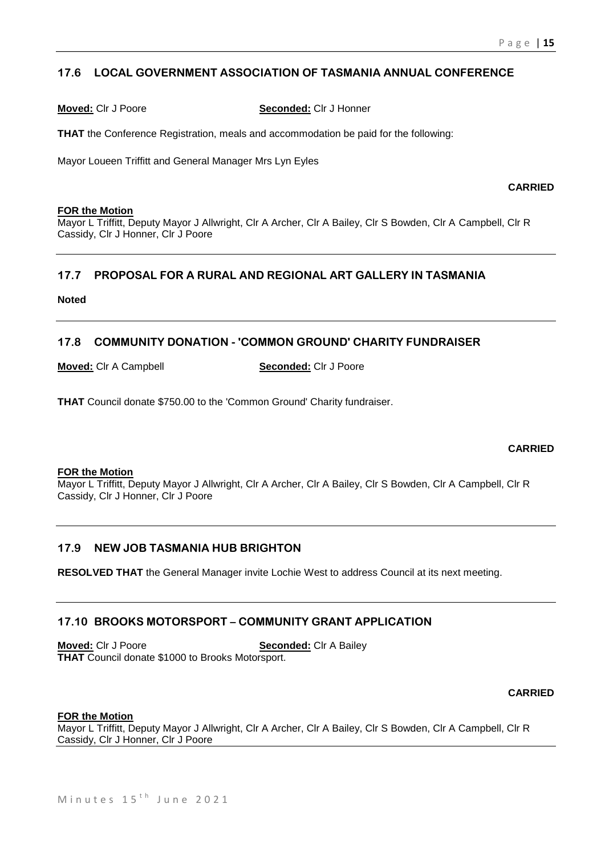# **17.6 LOCAL GOVERNMENT ASSOCIATION OF TASMANIA ANNUAL CONFERENCE**

**Moved:** Clr J Poore **Seconded:** Clr J Honner

**THAT** the Conference Registration, meals and accommodation be paid for the following:

Mayor Loueen Triffitt and General Manager Mrs Lyn Eyles

**CARRIED**

#### **FOR the Motion**

Mayor L Triffitt, Deputy Mayor J Allwright, Clr A Archer, Clr A Bailey, Clr S Bowden, Clr A Campbell, Clr R Cassidy, Clr J Honner, Clr J Poore

# **17.7 PROPOSAL FOR A RURAL AND REGIONAL ART GALLERY IN TASMANIA**

**Noted**

# **17.8 COMMUNITY DONATION - 'COMMON GROUND' CHARITY FUNDRAISER**

**Moved:** Clr A Campbell **Seconded:** Clr J Poore

**THAT** Council donate \$750.00 to the 'Common Ground' Charity fundraiser.

# **CARRIED**

#### **FOR the Motion**

Mayor L Triffitt, Deputy Mayor J Allwright, Clr A Archer, Clr A Bailey, Clr S Bowden, Clr A Campbell, Clr R Cassidy, Clr J Honner, Clr J Poore

# **17.9 NEW JOB TASMANIA HUB BRIGHTON**

**RESOLVED THAT** the General Manager invite Lochie West to address Council at its next meeting.

# **17.10 BROOKS MOTORSPORT – COMMUNITY GRANT APPLICATION**

**Moved:** Clr J Poore **Seconded:** Clr A Bailey **THAT** Council donate \$1000 to Brooks Motorsport.

# **CARRIED**

#### **FOR the Motion**